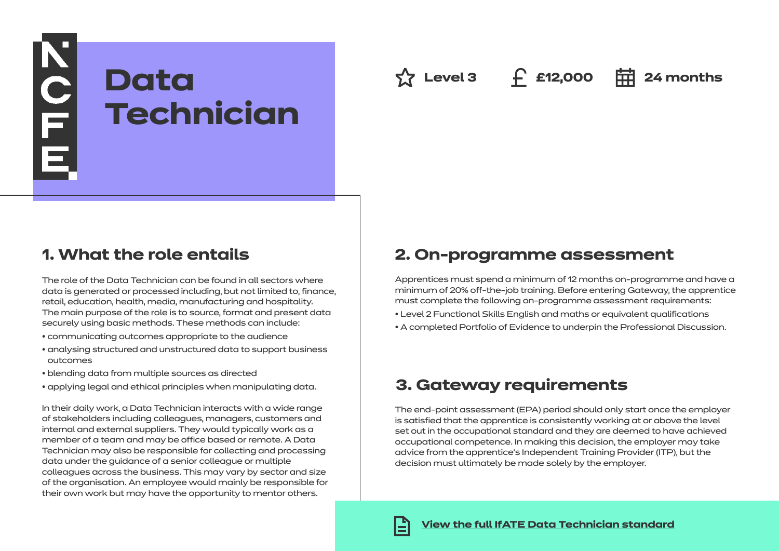

**Az Level 3 f £12,000 pd** 24 months

# **1. What the role entails**

The role of the Data Technician can be found in all sectors where data is generated or processed including, but not limited to, finance, retail, education, health, media, manufacturing and hospitality. The main purpose of the role is to source, format and present data securely using basic methods. These methods can include:

- communicating outcomes appropriate to the audience
- analysing structured and unstructured data to support business outcomes
- blending data from multiple sources as directed
- applying legal and ethical principles when manipulating data.

In their daily work, a Data Technician interacts with a wide range of stakeholders including colleagues, managers, customers and internal and external suppliers. They would typically work as a member of a team and may be office based or remote. A Data Technician may also be responsible for collecting and processing data under the guidance of a senior colleague or multiple colleagues across the business. This may vary by sector and size of the organisation. An employee would mainly be responsible for their own work but may have the opportunity to mentor others.

### **2. On-programme assessment**

Apprentices must spend a minimum of 12 months on-programme and have a minimum of 20% off-the-job training. Before entering Gateway, the apprentice must complete the following on-programme assessment requirements:

- Level 2 Functional Skills English and maths or equivalent qualifications
- A completed Portfolio of Evidence to underpin the Professional Discussion.

# **3. Gateway requirements**

The end-point assessment (EPA) period should only start once the employer is satisfied that the apprentice is consistently working at or above the level set out in the occupational standard and they are deemed to have achieved occupational competence. In making this decision, the employer may take advice from the apprentice's Independent Training Provider (ITP), but the decision must ultimately be made solely by the employer.